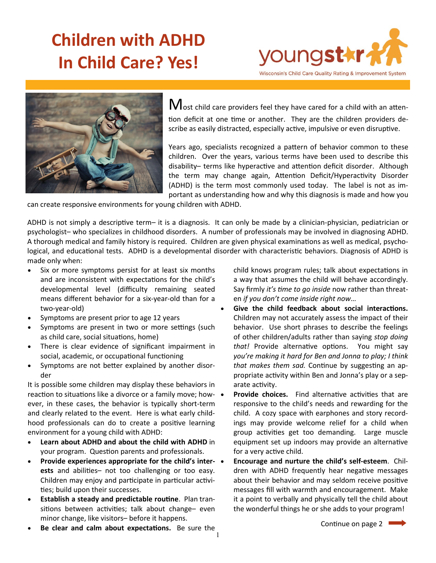# **Children with ADHD In Child Care? Yes!**





Most child care providers feel they have cared for a child with an attention deficit at one time or another. They are the children providers describe as easily distracted, especially active, impulsive or even disruptive.

Years ago, specialists recognized a pattern of behavior common to these children. Over the years, various terms have been used to describe this disability– terms like hyperactive and attention deficit disorder. Although the term may change again, Attention Deficit/Hyperactivity Disorder (ADHD) is the term most commonly used today. The label is not as important as understanding how and why this diagnosis is made and how you

can create responsive environments for young children with ADHD.

ADHD is not simply a descriptive term– it is a diagnosis. It can only be made by a clinician-physician, pediatrician or psychologist– who specializes in childhood disorders. A number of professionals may be involved in diagnosing ADHD. A thorough medical and family history is required. Children are given physical examinations as well as medical, psychological, and educational tests. ADHD is a developmental disorder with characteristic behaviors. Diagnosis of ADHD is made only when:

- Six or more symptoms persist for at least six months and are inconsistent with expectations for the child's developmental level (difficulty remaining seated means different behavior for a six-year-old than for a two-year-old)
- Symptoms are present prior to age 12 years
- Symptoms are present in two or more settings (such as child care, social situations, home)
- There is clear evidence of significant impairment in social, academic, or occupational functioning
- Symptoms are not better explained by another disorder

It is possible some children may display these behaviors in reaction to situations like a divorce or a family move; how-  $\bullet$ ever, in these cases, the behavior is typically short-term and clearly related to the event. Here is what early childhood professionals can do to create a positive learning environment for a young child with ADHD:

- **Learn about ADHD and about the child with ADHD** in your program. Question parents and professionals.
- **Provide experiences appropriate for the child's interests** and abilities– not too challenging or too easy. Children may enjoy and participate in particular activities; build upon their successes.
- **Establish a steady and predictable routine**. Plan transitions between activities; talk about change– even minor change, like visitors– before it happens.
- 1 • **Be clear and calm about expectations.** Be sure the

child knows program rules; talk about expectations in a way that assumes the child will behave accordingly. Say firmly *it's time to go inside* now rather than threaten *if you don't come inside right now*…

- **Give the child feedback about social interactions.**  Children may not accurately assess the impact of their behavior. Use short phrases to describe the feelings of other children/adults rather than saying *stop doing that!* Provide alternative options. You might say *you're making it hard for Ben and Jonna to play; I think that makes them sad.* Continue by suggesting an appropriate activity within Ben and Jonna's play or a separate activity.
- **Provide choices.** Find alternative activities that are responsive to the child's needs and rewarding for the child. A cozy space with earphones and story recordings may provide welcome relief for a child when group activities get too demanding. Large muscle equipment set up indoors may provide an alternative for a very active child.
- **Encourage and nurture the child's self-esteem**. Children with ADHD frequently hear negative messages about their behavior and may seldom receive positive messages fill with warmth and encouragement. Make it a point to verbally and physically tell the child about the wonderful things he or she adds to your program!

Continue on page 2